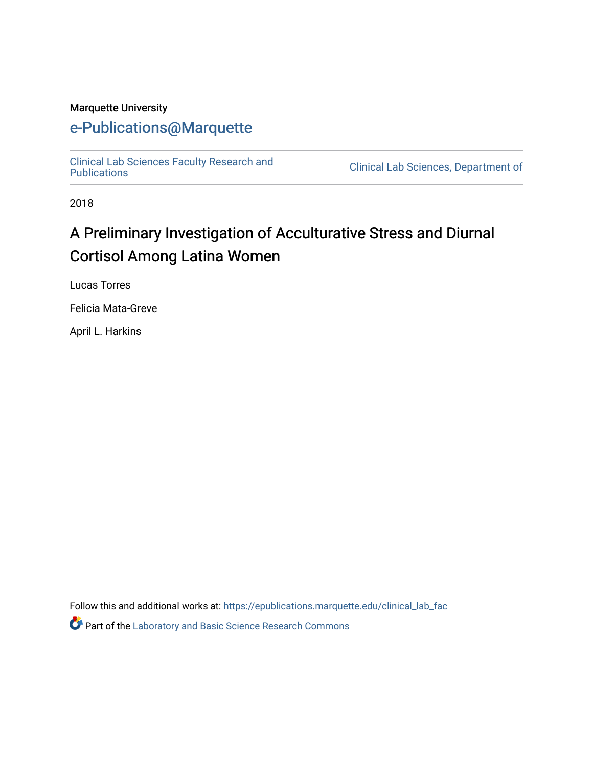#### Marquette University

# [e-Publications@Marquette](https://epublications.marquette.edu/)

[Clinical Lab Sciences Faculty Research and](https://epublications.marquette.edu/clinical_lab_fac)

Clinical Lab Sciences, Department of

2018

# A Preliminary Investigation of Acculturative Stress and Diurnal Cortisol Among Latina Women

Lucas Torres

Felicia Mata-Greve

April L. Harkins

Follow this and additional works at: [https://epublications.marquette.edu/clinical\\_lab\\_fac](https://epublications.marquette.edu/clinical_lab_fac?utm_source=epublications.marquette.edu%2Fclinical_lab_fac%2F50&utm_medium=PDF&utm_campaign=PDFCoverPages) Part of the [Laboratory and Basic Science Research Commons](http://network.bepress.com/hgg/discipline/812?utm_source=epublications.marquette.edu%2Fclinical_lab_fac%2F50&utm_medium=PDF&utm_campaign=PDFCoverPages)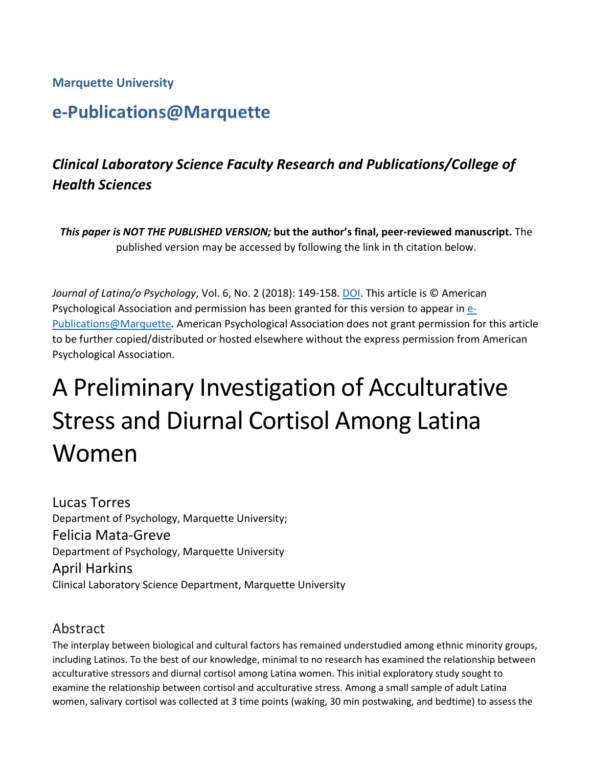## **Marquette University**

# **e-Publications@Marquette**

# *Clinical Laboratory Science Faculty Research and Publications/College of Health Sciences*

*This paper is NOT THE PUBLISHED VERSION;* **but the author's final, peer-reviewed manuscript.** The published version may be accessed by following the link in th citation below.

*Journal of Latina/o Psychology*, Vol. 6, No. 2 (2018): 149-158[. DOI.](http://dx.doi.org/10.1037/lat0000088) This article is © American Psychological Association and permission has been granted for this version to appear i[n e-](http://epublications.marquette.edu/)[Publications@Marquette.](http://epublications.marquette.edu/) American Psychological Association does not grant permission for this article to be further copied/distributed or hosted elsewhere without the express permission from American Psychological Association.

# A Preliminary Investigation of Acculturative Stress and Diurnal Cortisol Among Latina Women

Lucas Torres Department of Psychology, Marquette University; Felicia Mata-Greve Department of Psychology, Marquette University April Harkins Clinical Laboratory Science Department, Marquette University

## Abstract

The interplay between biological and cultural factors has remained understudied among ethnic minority groups, including Latinos. To the best of our knowledge, minimal to no research has examined the relationship between acculturative stressors and diurnal cortisol among Latina women. This initial exploratory study sought to examine the relationship between cortisol and acculturative stress. Among a small sample of adult Latina women, salivary cortisol was collected at 3 time points (waking, 30 min postwaking, and bedtime) to assess the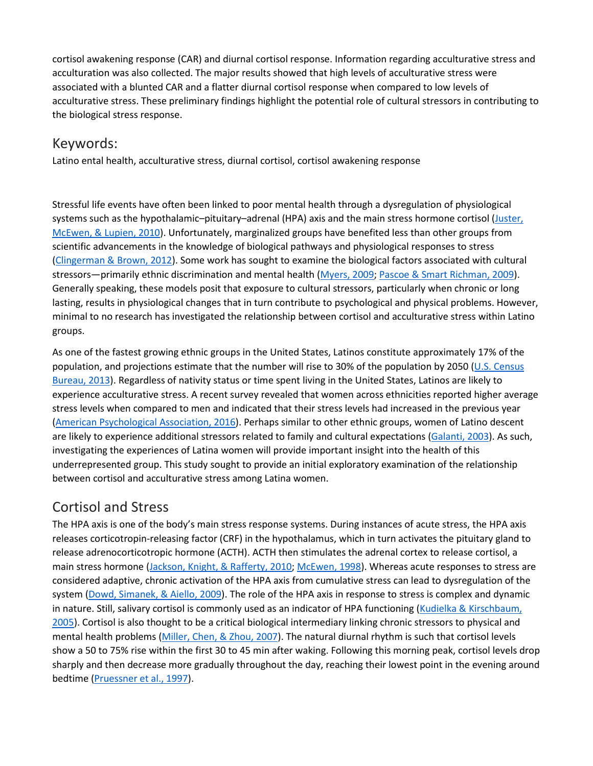cortisol awakening response (CAR) and diurnal cortisol response. Information regarding acculturative stress and acculturation was also collected. The major results showed that high levels of acculturative stress were associated with a blunted CAR and a flatter diurnal cortisol response when compared to low levels of acculturative stress. These preliminary findings highlight the potential role of cultural stressors in contributing to the biological stress response.

## Keywords:

Latino ental health, acculturative stress, diurnal cortisol, cortisol awakening response

Stressful life events have often been linked to poor mental health through a dysregulation of physiological systems such as the hypothalamic–pituitary–adrenal (HPA) axis and the main stress hormone cortisol [\(Juster,](https://0-web-b-ebscohost-com.libus.csd.mu.edu/ehost/detail/detail?vid=2&sid=1d66e53b-28b5-40d6-b803-5f03e3bfd263%40sessionmgr101&bdata=JnNpdGU9ZWhvc3QtbGl2ZQ%3d%3d#c21) [McEwen,](https://0-web-b-ebscohost-com.libus.csd.mu.edu/ehost/detail/detail?vid=2&sid=1d66e53b-28b5-40d6-b803-5f03e3bfd263%40sessionmgr101&bdata=JnNpdGU9ZWhvc3QtbGl2ZQ%3d%3d#c21) & Lupien, 2010). Unfortunately, marginalized groups have benefited less than other groups from scientific advancements in the knowledge of biological pathways and physiological responses to stress [\(Clingerman](https://0-web-b-ebscohost-com.libus.csd.mu.edu/ehost/detail/detail?vid=2&sid=1d66e53b-28b5-40d6-b803-5f03e3bfd263%40sessionmgr101&bdata=JnNpdGU9ZWhvc3QtbGl2ZQ%3d%3d#c8) & Brown, 2012). Some work has sought to examine the biological factors associated with cultural stressors—primarily ethnic discrimination and mental health [\(Myers,](https://0-web-b-ebscohost-com.libus.csd.mu.edu/ehost/detail/detail?vid=2&sid=1d66e53b-28b5-40d6-b803-5f03e3bfd263%40sessionmgr101&bdata=JnNpdGU9ZWhvc3QtbGl2ZQ%3d%3d#c30) 2009; Pascoe & Smart [Richman,](https://0-web-b-ebscohost-com.libus.csd.mu.edu/ehost/detail/detail?vid=2&sid=1d66e53b-28b5-40d6-b803-5f03e3bfd263%40sessionmgr101&bdata=JnNpdGU9ZWhvc3QtbGl2ZQ%3d%3d#c31) 2009). Generally speaking, these models posit that exposure to cultural stressors, particularly when chronic or long lasting, results in physiological changes that in turn contribute to psychological and physical problems. However, minimal to no research has investigated the relationship between cortisol and acculturative stress within Latino groups.

As one of the fastest growing ethnic groups in the United States, Latinos constitute approximately 17% of the population, and projections estimate that the number will rise to 30% of the population by 2050 (U.S. [Census](https://0-web-b-ebscohost-com.libus.csd.mu.edu/ehost/detail/detail?vid=2&sid=1d66e53b-28b5-40d6-b803-5f03e3bfd263%40sessionmgr101&bdata=JnNpdGU9ZWhvc3QtbGl2ZQ%3d%3d#c43) [Bureau,](https://0-web-b-ebscohost-com.libus.csd.mu.edu/ehost/detail/detail?vid=2&sid=1d66e53b-28b5-40d6-b803-5f03e3bfd263%40sessionmgr101&bdata=JnNpdGU9ZWhvc3QtbGl2ZQ%3d%3d#c43) 2013). Regardless of nativity status or time spent living in the United States, Latinos are likely to experience acculturative stress. A recent survey revealed that women across ethnicities reported higher average stress levels when compared to men and indicated that their stress levels had increased in the previous year (American [Psychological](https://0-web-b-ebscohost-com.libus.csd.mu.edu/ehost/detail/detail?vid=2&sid=1d66e53b-28b5-40d6-b803-5f03e3bfd263%40sessionmgr101&bdata=JnNpdGU9ZWhvc3QtbGl2ZQ%3d%3d#c4) Association, 2016). Perhaps similar to other ethnic groups, women of Latino descent are likely to experience additional stressors related to family and cultural expectations [\(Galanti,](https://0-web-b-ebscohost-com.libus.csd.mu.edu/ehost/detail/detail?vid=2&sid=1d66e53b-28b5-40d6-b803-5f03e3bfd263%40sessionmgr101&bdata=JnNpdGU9ZWhvc3QtbGl2ZQ%3d%3d#c16) 2003). As such, investigating the experiences of Latina women will provide important insight into the health of this underrepresented group. This study sought to provide an initial exploratory examination of the relationship between cortisol and acculturative stress among Latina women.

## [Cortisol and Stress](https://0-web-b-ebscohost-com.libus.csd.mu.edu/ehost/detail/detail?vid=2&sid=1d66e53b-28b5-40d6-b803-5f03e3bfd263%40sessionmgr101&bdata=JnNpdGU9ZWhvc3QtbGl2ZQ%3d%3d#toc)

The HPA axis is one of the body's main stress response systems. During instances of acute stress, the HPA axis releases corticotropin-releasing factor (CRF) in the hypothalamus, which in turn activates the pituitary gland to release adrenocorticotropic hormone (ACTH). ACTH then stimulates the adrenal cortex to release cortisol, a main stress hormone [\(Jackson,](https://0-web-b-ebscohost-com.libus.csd.mu.edu/ehost/detail/detail?vid=2&sid=1d66e53b-28b5-40d6-b803-5f03e3bfd263%40sessionmgr101&bdata=JnNpdGU9ZWhvc3QtbGl2ZQ%3d%3d#c47) Knight, & Rafferty, 2010; [McEwen,](https://0-web-b-ebscohost-com.libus.csd.mu.edu/ehost/detail/detail?vid=2&sid=1d66e53b-28b5-40d6-b803-5f03e3bfd263%40sessionmgr101&bdata=JnNpdGU9ZWhvc3QtbGl2ZQ%3d%3d#c27) 1998). Whereas acute responses to stress are considered adaptive, chronic activation of the HPA axis from cumulative stress can lead to dysregulation of the system (Dowd, [Simanek,](https://0-web-b-ebscohost-com.libus.csd.mu.edu/ehost/detail/detail?vid=2&sid=1d66e53b-28b5-40d6-b803-5f03e3bfd263%40sessionmgr101&bdata=JnNpdGU9ZWhvc3QtbGl2ZQ%3d%3d#c14) & Aiello, 2009). The role of the HPA axis in response to stress is complex and dynamic in nature. Still, salivary cortisol is commonly used as an indicator of HPA functioning (Kudielka & [Kirschbaum,](https://0-web-b-ebscohost-com.libus.csd.mu.edu/ehost/detail/detail?vid=2&sid=1d66e53b-28b5-40d6-b803-5f03e3bfd263%40sessionmgr101&bdata=JnNpdGU9ZWhvc3QtbGl2ZQ%3d%3d#c23) [2005\)](https://0-web-b-ebscohost-com.libus.csd.mu.edu/ehost/detail/detail?vid=2&sid=1d66e53b-28b5-40d6-b803-5f03e3bfd263%40sessionmgr101&bdata=JnNpdGU9ZWhvc3QtbGl2ZQ%3d%3d#c23). Cortisol is also thought to be a critical biological intermediary linking chronic stressors to physical and mental health problems [\(Miller,](https://0-web-b-ebscohost-com.libus.csd.mu.edu/ehost/detail/detail?vid=2&sid=1d66e53b-28b5-40d6-b803-5f03e3bfd263%40sessionmgr101&bdata=JnNpdGU9ZWhvc3QtbGl2ZQ%3d%3d#c29) Chen, & Zhou, 2007). The natural diurnal rhythm is such that cortisol levels show a 50 to 75% rise within the first 30 to 45 min after waking. Following this morning peak, cortisol levels drop sharply and then decrease more gradually throughout the day, reaching their lowest point in the evening around bedtime [\(Pruessner](https://0-web-b-ebscohost-com.libus.csd.mu.edu/ehost/detail/detail?vid=2&sid=1d66e53b-28b5-40d6-b803-5f03e3bfd263%40sessionmgr101&bdata=JnNpdGU9ZWhvc3QtbGl2ZQ%3d%3d#c32) et al., 1997).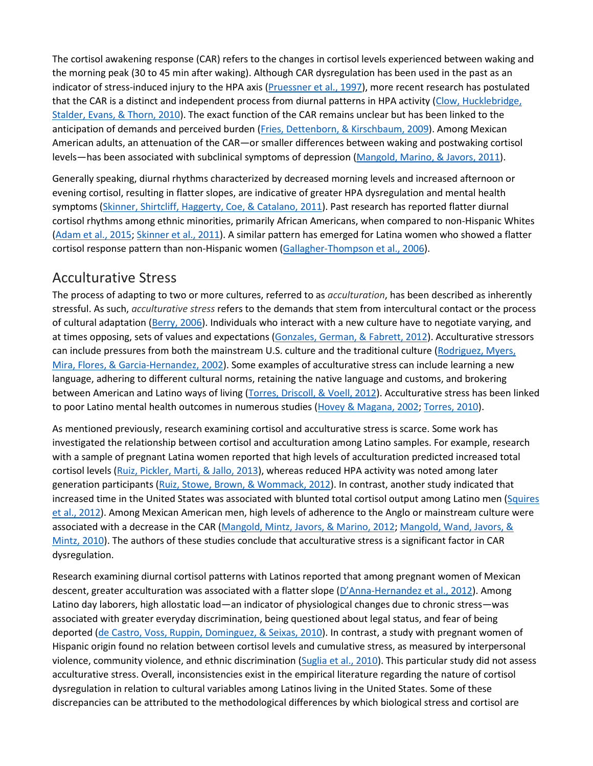The cortisol awakening response (CAR) refers to the changes in cortisol levels experienced between waking and the morning peak (30 to 45 min after waking). Although CAR dysregulation has been used in the past as an indicator of stress-induced injury to the HPA axis [\(Pruessner](https://0-web-b-ebscohost-com.libus.csd.mu.edu/ehost/detail/detail?vid=2&sid=1d66e53b-28b5-40d6-b803-5f03e3bfd263%40sessionmgr101&bdata=JnNpdGU9ZWhvc3QtbGl2ZQ%3d%3d#c32) et al., 1997), more recent research has postulated that the CAR is a distinct and independent process from diurnal patterns in HPA activity (Clow, [Hucklebridge,](https://0-web-b-ebscohost-com.libus.csd.mu.edu/ehost/detail/detail?vid=2&sid=1d66e53b-28b5-40d6-b803-5f03e3bfd263%40sessionmgr101&bdata=JnNpdGU9ZWhvc3QtbGl2ZQ%3d%3d#c9) [Stalder,](https://0-web-b-ebscohost-com.libus.csd.mu.edu/ehost/detail/detail?vid=2&sid=1d66e53b-28b5-40d6-b803-5f03e3bfd263%40sessionmgr101&bdata=JnNpdGU9ZWhvc3QtbGl2ZQ%3d%3d#c9) Evans, & Thorn, 2010). The exact function of the CAR remains unclear but has been linked to the anticipation of demands and perceived burden (Fries, Dettenborn, & [Kirschbaum,](https://0-web-b-ebscohost-com.libus.csd.mu.edu/ehost/detail/detail?vid=2&sid=1d66e53b-28b5-40d6-b803-5f03e3bfd263%40sessionmgr101&bdata=JnNpdGU9ZWhvc3QtbGl2ZQ%3d%3d#c15) 2009). Among Mexican American adults, an attenuation of the CAR—or smaller differences between waking and postwaking cortisol levels—has been associated with subclinical symptoms of depression [\(Mangold,](https://0-web-b-ebscohost-com.libus.csd.mu.edu/ehost/detail/detail?vid=2&sid=1d66e53b-28b5-40d6-b803-5f03e3bfd263%40sessionmgr101&bdata=JnNpdGU9ZWhvc3QtbGl2ZQ%3d%3d#c24) Marino, & Javors, 2011).

Generally speaking, diurnal rhythms characterized by decreased morning levels and increased afternoon or evening cortisol, resulting in flatter slopes, are indicative of greater HPA dysregulation and mental health symptoms (Skinner, Shirtcliff, [Haggerty,](https://0-web-b-ebscohost-com.libus.csd.mu.edu/ehost/detail/detail?vid=2&sid=1d66e53b-28b5-40d6-b803-5f03e3bfd263%40sessionmgr101&bdata=JnNpdGU9ZWhvc3QtbGl2ZQ%3d%3d#c37) Coe, & Catalano, 2011). Past research has reported flatter diurnal cortisol rhythms among ethnic minorities, primarily African Americans, when compared to non-Hispanic Whites [\(Adam](https://0-web-b-ebscohost-com.libus.csd.mu.edu/ehost/detail/detail?vid=2&sid=1d66e53b-28b5-40d6-b803-5f03e3bfd263%40sessionmgr101&bdata=JnNpdGU9ZWhvc3QtbGl2ZQ%3d%3d#c1) et al., 2015; [Skinner](https://0-web-b-ebscohost-com.libus.csd.mu.edu/ehost/detail/detail?vid=2&sid=1d66e53b-28b5-40d6-b803-5f03e3bfd263%40sessionmgr101&bdata=JnNpdGU9ZWhvc3QtbGl2ZQ%3d%3d#c37) et al., 2011). A similar pattern has emerged for Latina women who showed a flatter cortisol response pattern than non-Hispanic women [\(Gallagher-Thompson](https://0-web-b-ebscohost-com.libus.csd.mu.edu/ehost/detail/detail?vid=2&sid=1d66e53b-28b5-40d6-b803-5f03e3bfd263%40sessionmgr101&bdata=JnNpdGU9ZWhvc3QtbGl2ZQ%3d%3d#c17) et al., 2006).

## [Acculturative Stress](https://0-web-b-ebscohost-com.libus.csd.mu.edu/ehost/detail/detail?vid=2&sid=1d66e53b-28b5-40d6-b803-5f03e3bfd263%40sessionmgr101&bdata=JnNpdGU9ZWhvc3QtbGl2ZQ%3d%3d#toc)

The process of adapting to two or more cultures, referred to as *acculturation*, has been described as inherently stressful. As such, *acculturative stress* refers to the demands that stem from intercultural contact or the process of cultural adaptation [\(Berry,](https://0-web-b-ebscohost-com.libus.csd.mu.edu/ehost/detail/detail?vid=2&sid=1d66e53b-28b5-40d6-b803-5f03e3bfd263%40sessionmgr101&bdata=JnNpdGU9ZWhvc3QtbGl2ZQ%3d%3d#c6) 2006). Individuals who interact with a new culture have to negotiate varying, and at times opposing, sets of values and expectations [\(Gonzales,](https://0-web-b-ebscohost-com.libus.csd.mu.edu/ehost/detail/detail?vid=2&sid=1d66e53b-28b5-40d6-b803-5f03e3bfd263%40sessionmgr101&bdata=JnNpdGU9ZWhvc3QtbGl2ZQ%3d%3d#c18) German, & Fabrett, 2012). Acculturative stressors can include pressures from both the mainstream U.S. culture and the traditional culture [\(Rodriguez,](https://0-web-b-ebscohost-com.libus.csd.mu.edu/ehost/detail/detail?vid=2&sid=1d66e53b-28b5-40d6-b803-5f03e3bfd263%40sessionmgr101&bdata=JnNpdGU9ZWhvc3QtbGl2ZQ%3d%3d#c33) Myers, Mira, Flores, & [Garcia-Hernandez,](https://0-web-b-ebscohost-com.libus.csd.mu.edu/ehost/detail/detail?vid=2&sid=1d66e53b-28b5-40d6-b803-5f03e3bfd263%40sessionmgr101&bdata=JnNpdGU9ZWhvc3QtbGl2ZQ%3d%3d#c33) 2002). Some examples of acculturative stress can include learning a new language, adhering to different cultural norms, retaining the native language and customs, and brokering between American and Latino ways of living (Torres, [Driscoll,](https://0-web-b-ebscohost-com.libus.csd.mu.edu/ehost/detail/detail?vid=2&sid=1d66e53b-28b5-40d6-b803-5f03e3bfd263%40sessionmgr101&bdata=JnNpdGU9ZWhvc3QtbGl2ZQ%3d%3d#c42) & Voell, 2012). Acculturative stress has been linked to poor Latino mental health outcomes in numerous studies (Hovey & [Magana,](https://0-web-b-ebscohost-com.libus.csd.mu.edu/ehost/detail/detail?vid=2&sid=1d66e53b-28b5-40d6-b803-5f03e3bfd263%40sessionmgr101&bdata=JnNpdGU9ZWhvc3QtbGl2ZQ%3d%3d#c46) 2002; [Torres,](https://0-web-b-ebscohost-com.libus.csd.mu.edu/ehost/detail/detail?vid=2&sid=1d66e53b-28b5-40d6-b803-5f03e3bfd263%40sessionmgr101&bdata=JnNpdGU9ZWhvc3QtbGl2ZQ%3d%3d#c41) 2010).

As mentioned previously, research examining cortisol and acculturative stress is scarce. Some work has investigated the relationship between cortisol and acculturation among Latino samples. For example, research with a sample of pregnant Latina women reported that high levels of acculturation predicted increased total cortisol levels (Ruiz, [Pickler,](https://0-web-b-ebscohost-com.libus.csd.mu.edu/ehost/detail/detail?vid=2&sid=1d66e53b-28b5-40d6-b803-5f03e3bfd263%40sessionmgr101&bdata=JnNpdGU9ZWhvc3QtbGl2ZQ%3d%3d#c34) Marti, & Jallo, 2013), whereas reduced HPA activity was noted among later generation participants (Ruiz, Stowe, Brown, & [Wommack,](https://0-web-b-ebscohost-com.libus.csd.mu.edu/ehost/detail/detail?vid=2&sid=1d66e53b-28b5-40d6-b803-5f03e3bfd263%40sessionmgr101&bdata=JnNpdGU9ZWhvc3QtbGl2ZQ%3d%3d#c35) 2012). In contrast, another study indicated that increased time in the United States was associated with blunted total cortisol output among Latino men [\(Squires](https://0-web-b-ebscohost-com.libus.csd.mu.edu/ehost/detail/detail?vid=2&sid=1d66e53b-28b5-40d6-b803-5f03e3bfd263%40sessionmgr101&bdata=JnNpdGU9ZWhvc3QtbGl2ZQ%3d%3d#c38) et al., [2012\)](https://0-web-b-ebscohost-com.libus.csd.mu.edu/ehost/detail/detail?vid=2&sid=1d66e53b-28b5-40d6-b803-5f03e3bfd263%40sessionmgr101&bdata=JnNpdGU9ZWhvc3QtbGl2ZQ%3d%3d#c38). Among Mexican American men, high levels of adherence to the Anglo or mainstream culture were associated with a decrease in the CAR [\(Mangold,](https://0-web-b-ebscohost-com.libus.csd.mu.edu/ehost/detail/detail?vid=2&sid=1d66e53b-28b5-40d6-b803-5f03e3bfd263%40sessionmgr101&bdata=JnNpdGU9ZWhvc3QtbGl2ZQ%3d%3d#c25) Mintz, Javors, & Marino, 2012; [Mangold,](https://0-web-b-ebscohost-com.libus.csd.mu.edu/ehost/detail/detail?vid=2&sid=1d66e53b-28b5-40d6-b803-5f03e3bfd263%40sessionmgr101&bdata=JnNpdGU9ZWhvc3QtbGl2ZQ%3d%3d#c26) Wand, Javors, & [Mintz,](https://0-web-b-ebscohost-com.libus.csd.mu.edu/ehost/detail/detail?vid=2&sid=1d66e53b-28b5-40d6-b803-5f03e3bfd263%40sessionmgr101&bdata=JnNpdGU9ZWhvc3QtbGl2ZQ%3d%3d#c26) 2010). The authors of these studies conclude that acculturative stress is a significant factor in CAR dysregulation.

Research examining diurnal cortisol patterns with Latinos reported that among pregnant women of Mexican descent, greater acculturation was associated with a flatter slope [\(D'Anna-Hernandez](https://0-web-b-ebscohost-com.libus.csd.mu.edu/ehost/detail/detail?vid=2&sid=1d66e53b-28b5-40d6-b803-5f03e3bfd263%40sessionmgr101&bdata=JnNpdGU9ZWhvc3QtbGl2ZQ%3d%3d#c12) et al., 2012). Among Latino day laborers, high allostatic load—an indicator of physiological changes due to chronic stress—was associated with greater everyday discrimination, being questioned about legal status, and fear of being deported (de Castro, Voss, Ruppin, [Dominguez,](https://0-web-b-ebscohost-com.libus.csd.mu.edu/ehost/detail/detail?vid=2&sid=1d66e53b-28b5-40d6-b803-5f03e3bfd263%40sessionmgr101&bdata=JnNpdGU9ZWhvc3QtbGl2ZQ%3d%3d#c13) & Seixas, 2010). In contrast, a study with pregnant women of Hispanic origin found no relation between cortisol levels and cumulative stress, as measured by interpersonal violence, community violence, and ethnic discrimination [\(Suglia](https://0-web-b-ebscohost-com.libus.csd.mu.edu/ehost/detail/detail?vid=2&sid=1d66e53b-28b5-40d6-b803-5f03e3bfd263%40sessionmgr101&bdata=JnNpdGU9ZWhvc3QtbGl2ZQ%3d%3d#c39) et al., 2010). This particular study did not assess acculturative stress. Overall, inconsistencies exist in the empirical literature regarding the nature of cortisol dysregulation in relation to cultural variables among Latinos living in the United States. Some of these discrepancies can be attributed to the methodological differences by which biological stress and cortisol are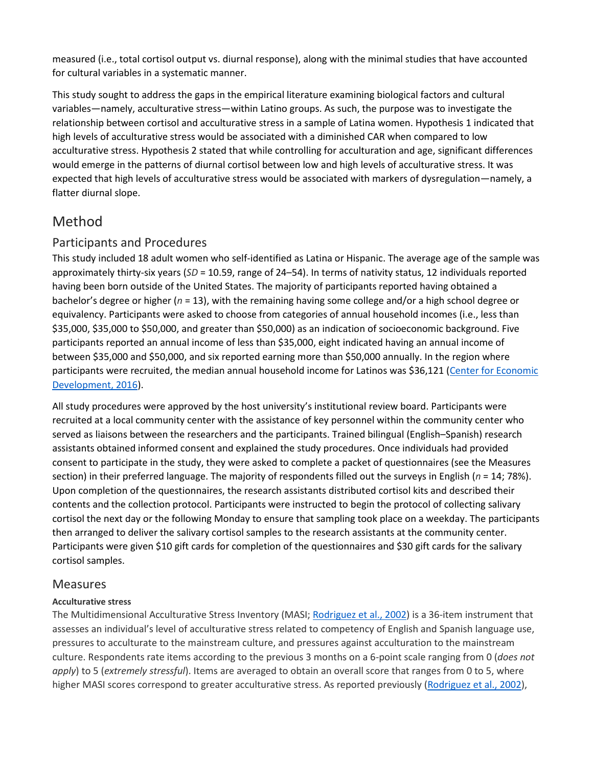measured (i.e., total cortisol output vs. diurnal response), along with the minimal studies that have accounted for cultural variables in a systematic manner.

This study sought to address the gaps in the empirical literature examining biological factors and cultural variables—namely, acculturative stress—within Latino groups. As such, the purpose was to investigate the relationship between cortisol and acculturative stress in a sample of Latina women. Hypothesis 1 indicated that high levels of acculturative stress would be associated with a diminished CAR when compared to low acculturative stress. Hypothesis 2 stated that while controlling for acculturation and age, significant differences would emerge in the patterns of diurnal cortisol between low and high levels of acculturative stress. It was expected that high levels of acculturative stress would be associated with markers of dysregulation—namely, a flatter diurnal slope.

## [Method](https://0-web-b-ebscohost-com.libus.csd.mu.edu/ehost/detail/detail?vid=2&sid=1d66e53b-28b5-40d6-b803-5f03e3bfd263%40sessionmgr101&bdata=JnNpdGU9ZWhvc3QtbGl2ZQ%3d%3d#toc)

#### Participants and Procedures

This study included 18 adult women who self-identified as Latina or Hispanic. The average age of the sample was approximately thirty-six years (*SD* = 10.59, range of 24–54). In terms of nativity status, 12 individuals reported having been born outside of the United States. The majority of participants reported having obtained a bachelor's degree or higher (*n* = 13), with the remaining having some college and/or a high school degree or equivalency. Participants were asked to choose from categories of annual household incomes (i.e., less than \$35,000, \$35,000 to \$50,000, and greater than \$50,000) as an indication of socioeconomic background. Five participants reported an annual income of less than \$35,000, eight indicated having an annual income of between \$35,000 and \$50,000, and six reported earning more than \$50,000 annually. In the region where participants were recruited, the median annual household income for Latinos was \$36,121 (Center for [Economic](https://0-web-b-ebscohost-com.libus.csd.mu.edu/ehost/detail/detail?vid=2&sid=1d66e53b-28b5-40d6-b803-5f03e3bfd263%40sessionmgr101&bdata=JnNpdGU9ZWhvc3QtbGl2ZQ%3d%3d#c7) [Development,](https://0-web-b-ebscohost-com.libus.csd.mu.edu/ehost/detail/detail?vid=2&sid=1d66e53b-28b5-40d6-b803-5f03e3bfd263%40sessionmgr101&bdata=JnNpdGU9ZWhvc3QtbGl2ZQ%3d%3d#c7) 2016).

All study procedures were approved by the host university's institutional review board. Participants were recruited at a local community center with the assistance of key personnel within the community center who served as liaisons between the researchers and the participants. Trained bilingual (English–Spanish) research assistants obtained informed consent and explained the study procedures. Once individuals had provided consent to participate in the study, they were asked to complete a packet of questionnaires (see the Measures section) in their preferred language. The majority of respondents filled out the surveys in English (*n* = 14; 78%). Upon completion of the questionnaires, the research assistants distributed cortisol kits and described their contents and the collection protocol. Participants were instructed to begin the protocol of collecting salivary cortisol the next day or the following Monday to ensure that sampling took place on a weekday. The participants then arranged to deliver the salivary cortisol samples to the research assistants at the community center. Participants were given \$10 gift cards for completion of the questionnaires and \$30 gift cards for the salivary cortisol samples.

#### Measures

#### **Acculturative stress**

The Multidimensional Acculturative Stress Inventory (MASI; [Rodriguez](https://0-web-b-ebscohost-com.libus.csd.mu.edu/ehost/detail/detail?vid=2&sid=1d66e53b-28b5-40d6-b803-5f03e3bfd263%40sessionmgr101&bdata=JnNpdGU9ZWhvc3QtbGl2ZQ%3d%3d#c33) et al., 2002) is a 36-item instrument that assesses an individual's level of acculturative stress related to competency of English and Spanish language use, pressures to acculturate to the mainstream culture, and pressures against acculturation to the mainstream culture. Respondents rate items according to the previous 3 months on a 6-point scale ranging from 0 (*does not apply*) to 5 (*extremely stressful*). Items are averaged to obtain an overall score that ranges from 0 to 5, where higher MASI scores correspond to greater acculturative stress. As reported previously [\(Rodriguez](https://0-web-b-ebscohost-com.libus.csd.mu.edu/ehost/detail/detail?vid=2&sid=1d66e53b-28b5-40d6-b803-5f03e3bfd263%40sessionmgr101&bdata=JnNpdGU9ZWhvc3QtbGl2ZQ%3d%3d#c33) et al., 2002),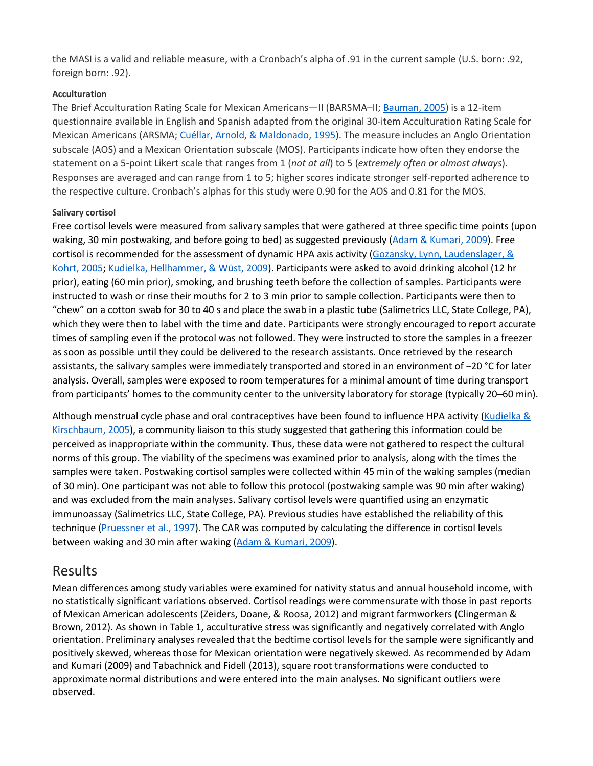the MASI is a valid and reliable measure, with a Cronbach's alpha of .91 in the current sample (U.S. born: .92, foreign born: .92).

#### **Acculturation**

The Brief Acculturation Rating Scale for Mexican Americans—II (BARSMA–II; [Bauman,](https://0-web-b-ebscohost-com.libus.csd.mu.edu/ehost/detail/detail?vid=2&sid=1d66e53b-28b5-40d6-b803-5f03e3bfd263%40sessionmgr101&bdata=JnNpdGU9ZWhvc3QtbGl2ZQ%3d%3d#c5) 2005) is a 12-item questionnaire available in English and Spanish adapted from the original 30-item Acculturation Rating Scale for Mexican Americans (ARSMA; Cuéllar, Arnold, & [Maldonado,](https://0-web-b-ebscohost-com.libus.csd.mu.edu/ehost/detail/detail?vid=2&sid=1d66e53b-28b5-40d6-b803-5f03e3bfd263%40sessionmgr101&bdata=JnNpdGU9ZWhvc3QtbGl2ZQ%3d%3d#c11) 1995). The measure includes an Anglo Orientation subscale (AOS) and a Mexican Orientation subscale (MOS). Participants indicate how often they endorse the statement on a 5-point Likert scale that ranges from 1 (*not at all*) to 5 (*extremely often or almost always*). Responses are averaged and can range from 1 to 5; higher scores indicate stronger self-reported adherence to the respective culture. Cronbach's alphas for this study were 0.90 for the AOS and 0.81 for the MOS.

#### **Salivary cortisol**

Free cortisol levels were measured from salivary samples that were gathered at three specific time points (upon waking, 30 min postwaking, and before going to bed) as suggested previously (Adam & [Kumari,](https://0-web-b-ebscohost-com.libus.csd.mu.edu/ehost/detail/detail?vid=2&sid=1d66e53b-28b5-40d6-b803-5f03e3bfd263%40sessionmgr101&bdata=JnNpdGU9ZWhvc3QtbGl2ZQ%3d%3d#c2) 2009). Free cortisol is recommended for the assessment of dynamic HPA axis activity (Gozansky, Lynn, [Laudenslager,](https://0-web-b-ebscohost-com.libus.csd.mu.edu/ehost/detail/detail?vid=2&sid=1d66e53b-28b5-40d6-b803-5f03e3bfd263%40sessionmgr101&bdata=JnNpdGU9ZWhvc3QtbGl2ZQ%3d%3d#c19) & [Kohrt,](https://0-web-b-ebscohost-com.libus.csd.mu.edu/ehost/detail/detail?vid=2&sid=1d66e53b-28b5-40d6-b803-5f03e3bfd263%40sessionmgr101&bdata=JnNpdGU9ZWhvc3QtbGl2ZQ%3d%3d#c19) 2005; Kudielka, [Hellhammer,](https://0-web-b-ebscohost-com.libus.csd.mu.edu/ehost/detail/detail?vid=2&sid=1d66e53b-28b5-40d6-b803-5f03e3bfd263%40sessionmgr101&bdata=JnNpdGU9ZWhvc3QtbGl2ZQ%3d%3d#c22) & Wüst, 2009). Participants were asked to avoid drinking alcohol (12 hr prior), eating (60 min prior), smoking, and brushing teeth before the collection of samples. Participants were instructed to wash or rinse their mouths for 2 to 3 min prior to sample collection. Participants were then to "chew" on a cotton swab for 30 to 40 s and place the swab in a plastic tube (Salimetrics LLC, State College, PA), which they were then to label with the time and date. Participants were strongly encouraged to report accurate times of sampling even if the protocol was not followed. They were instructed to store the samples in a freezer as soon as possible until they could be delivered to the research assistants. Once retrieved by the research assistants, the salivary samples were immediately transported and stored in an environment of −20 °C for later analysis. Overall, samples were exposed to room temperatures for a minimal amount of time during transport from participants' homes to the community center to the university laboratory for storage (typically 20–60 min).

Although menstrual cycle phase and oral contraceptives have been found to influence HPA activity [\(Kudielka](https://0-web-b-ebscohost-com.libus.csd.mu.edu/ehost/detail/detail?vid=2&sid=1d66e53b-28b5-40d6-b803-5f03e3bfd263%40sessionmgr101&bdata=JnNpdGU9ZWhvc3QtbGl2ZQ%3d%3d#c23) & [Kirschbaum,](https://0-web-b-ebscohost-com.libus.csd.mu.edu/ehost/detail/detail?vid=2&sid=1d66e53b-28b5-40d6-b803-5f03e3bfd263%40sessionmgr101&bdata=JnNpdGU9ZWhvc3QtbGl2ZQ%3d%3d#c23) 2005), a community liaison to this study suggested that gathering this information could be perceived as inappropriate within the community. Thus, these data were not gathered to respect the cultural norms of this group. The viability of the specimens was examined prior to analysis, along with the times the samples were taken. Postwaking cortisol samples were collected within 45 min of the waking samples (median of 30 min). One participant was not able to follow this protocol (postwaking sample was 90 min after waking) and was excluded from the main analyses. Salivary cortisol levels were quantified using an enzymatic immunoassay (Salimetrics LLC, State College, PA). Previous studies have established the reliability of this technique [\(Pruessner](https://0-web-b-ebscohost-com.libus.csd.mu.edu/ehost/detail/detail?vid=2&sid=1d66e53b-28b5-40d6-b803-5f03e3bfd263%40sessionmgr101&bdata=JnNpdGU9ZWhvc3QtbGl2ZQ%3d%3d#c32) et al., 1997). The CAR was computed by calculating the difference in cortisol levels between waking and 30 min after waking (Adam & [Kumari,](https://0-web-b-ebscohost-com.libus.csd.mu.edu/ehost/detail/detail?vid=2&sid=1d66e53b-28b5-40d6-b803-5f03e3bfd263%40sessionmgr101&bdata=JnNpdGU9ZWhvc3QtbGl2ZQ%3d%3d#c2) 2009).

#### [Results](https://0-web-b-ebscohost-com.libus.csd.mu.edu/ehost/detail/detail?vid=2&sid=1d66e53b-28b5-40d6-b803-5f03e3bfd263%40sessionmgr101&bdata=JnNpdGU9ZWhvc3QtbGl2ZQ%3d%3d#toc)

Mean differences among study variables were examined for nativity status and annual household income, with no statistically significant variations observed. Cortisol readings were commensurate with those in past reports of Mexican American adolescents [\(Zeiders, Doane, & Roosa, 2012\)](https://0-web-b-ebscohost-com.libus.csd.mu.edu/ehost/detail/detail?vid=2&sid=1d66e53b-28b5-40d6-b803-5f03e3bfd263%40sessionmgr101&bdata=JnNpdGU9ZWhvc3QtbGl2ZQ%3d%3d#c45) and migrant farmworkers [\(Clingerman &](https://0-web-b-ebscohost-com.libus.csd.mu.edu/ehost/detail/detail?vid=2&sid=1d66e53b-28b5-40d6-b803-5f03e3bfd263%40sessionmgr101&bdata=JnNpdGU9ZWhvc3QtbGl2ZQ%3d%3d#c8)  [Brown, 2012\)](https://0-web-b-ebscohost-com.libus.csd.mu.edu/ehost/detail/detail?vid=2&sid=1d66e53b-28b5-40d6-b803-5f03e3bfd263%40sessionmgr101&bdata=JnNpdGU9ZWhvc3QtbGl2ZQ%3d%3d#c8). As shown in [Table 1,](https://0-web-b-ebscohost-com.libus.csd.mu.edu/ehost/detail/detail?vid=2&sid=1d66e53b-28b5-40d6-b803-5f03e3bfd263%40sessionmgr101&bdata=JnNpdGU9ZWhvc3QtbGl2ZQ%3d%3d#tbl1) acculturative stress was significantly and negatively correlated with Anglo orientation. Preliminary analyses revealed that the bedtime cortisol levels for the sample were significantly and positively skewed, whereas those for Mexican orientation were negatively skewed. As recommended by [Adam](https://0-web-b-ebscohost-com.libus.csd.mu.edu/ehost/detail/detail?vid=2&sid=1d66e53b-28b5-40d6-b803-5f03e3bfd263%40sessionmgr101&bdata=JnNpdGU9ZWhvc3QtbGl2ZQ%3d%3d#c2)  [and Kumari \(2009\)](https://0-web-b-ebscohost-com.libus.csd.mu.edu/ehost/detail/detail?vid=2&sid=1d66e53b-28b5-40d6-b803-5f03e3bfd263%40sessionmgr101&bdata=JnNpdGU9ZWhvc3QtbGl2ZQ%3d%3d#c2) and [Tabachnick and Fidell \(2013\),](https://0-web-b-ebscohost-com.libus.csd.mu.edu/ehost/detail/detail?vid=2&sid=1d66e53b-28b5-40d6-b803-5f03e3bfd263%40sessionmgr101&bdata=JnNpdGU9ZWhvc3QtbGl2ZQ%3d%3d#c40) square root transformations were conducted to approximate normal distributions and were entered into the main analyses. No significant outliers were observed.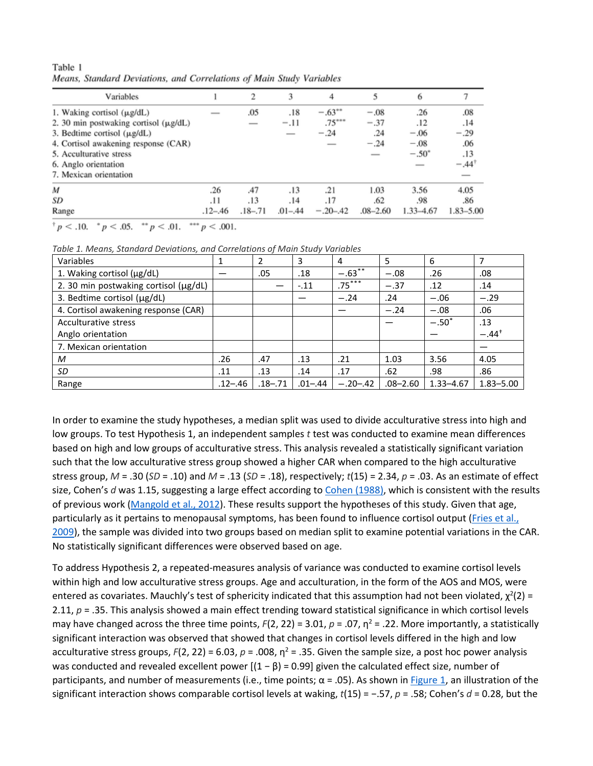| Table 1 |  |                                                                      |  |  |
|---------|--|----------------------------------------------------------------------|--|--|
|         |  | Means, Standard Deviations, and Correlations of Main Study Variables |  |  |

| Variables                                  |                          | 2                        | 3           | 4          | 5            | 6              |                  |
|--------------------------------------------|--------------------------|--------------------------|-------------|------------|--------------|----------------|------------------|
| 1. Waking cortisol $(\mu g/dL)$            | $\overline{\phantom{a}}$ | .05                      | .18         | $-.63***$  | $-.08$       | .26            | .08              |
| 2. 30 min postwaking cortisol $(\mu g/dL)$ |                          | $\overline{\phantom{a}}$ | $-.11$      | $.75***$   | $-.37$       | .12            | .14              |
| 3. Bedtime cortisol $(\mu g/dL)$           |                          |                          |             | $-.24$     | .24          | $-.06$         | $-.29$           |
| 4. Cortisol awakening response (CAR)       |                          |                          |             |            | $-.24$       | $-.08$         | .06              |
| 5. Acculturative stress                    |                          |                          |             |            |              | $-.50^{\circ}$ | .13              |
| 6. Anglo orientation                       |                          |                          |             |            |              | -              | $-.44^{\dagger}$ |
| 7. Mexican orientation                     |                          |                          |             |            |              |                |                  |
| M                                          | .26                      | .47                      | .13         | .21        | 1.03         | 3.56           | 4.05             |
| SD                                         | .11                      | .13                      | .14         | .17        | .62          | .98            | .86              |
| Range                                      | $.12 - .46$              | $.18 - .71$              | $.01 - .44$ | $-.20-.42$ | $.08 - 2.60$ | $1.33 - 4.67$  | $1.83 - 5.00$    |

 $p < 0.10$ ,  $p < 0.05$ ,  $p < 0.01$ ,  $p < 0.01$ ,

*Table 1. Means, Standard Deviations, and Correlations of Main Study Variables*

| Variables                             |             |             | 3           | 4          | 5            | 6             | 7                |
|---------------------------------------|-------------|-------------|-------------|------------|--------------|---------------|------------------|
| 1. Waking cortisol (µg/dL)            |             | .05         | .18         | $-.63***$  | $-.08$       | .26           | .08              |
| 2. 30 min postwaking cortisol (µg/dL) |             |             | $-.11$      | $.75***$   | $-.37$       | .12           | .14              |
| 3. Bedtime cortisol (µg/dL)           |             |             |             | $-.24$     | .24          | $-.06$        | $-.29$           |
| 4. Cortisol awakening response (CAR)  |             |             |             |            | $-.24$       | $-.08$        | .06              |
| Acculturative stress                  |             |             |             |            |              | $-.50"$       | .13              |
| Anglo orientation                     |             |             |             |            |              |               | $-.44^{\dagger}$ |
| 7. Mexican orientation                |             |             |             |            |              |               |                  |
| M                                     | .26         | .47         | .13         | .21        | 1.03         | 3.56          | 4.05             |
| SD                                    | .11         | .13         | .14         | .17        | .62          | .98           | .86              |
| Range                                 | $.12 - .46$ | $.18 - .71$ | $.01 - .44$ | $-.20-.42$ | $.08 - 2.60$ | $1.33 - 4.67$ | $1.83 - 5.00$    |

In order to examine the study hypotheses, a median split was used to divide acculturative stress into high and low groups. To test Hypothesis 1, an independent samples *t* test was conducted to examine mean differences based on high and low groups of acculturative stress. This analysis revealed a statistically significant variation such that the low acculturative stress group showed a higher CAR when compared to the high acculturative stress group, *M* = .30 (*SD* = .10) and *M* = .13 (*SD* = .18), respectively; *t*(15) = 2.34, *p* = .03. As an estimate of effect size, Cohen's *d* was 1.15, suggesting a large effect according to Cohen [\(1988\),](https://0-web-b-ebscohost-com.libus.csd.mu.edu/ehost/detail/detail?vid=2&sid=1d66e53b-28b5-40d6-b803-5f03e3bfd263%40sessionmgr101&bdata=JnNpdGU9ZWhvc3QtbGl2ZQ%3d%3d#c10) which is consistent with the results of previous work [\(Mangold](https://0-web-b-ebscohost-com.libus.csd.mu.edu/ehost/detail/detail?vid=2&sid=1d66e53b-28b5-40d6-b803-5f03e3bfd263%40sessionmgr101&bdata=JnNpdGU9ZWhvc3QtbGl2ZQ%3d%3d#c25) et al., 2012). These results support the hypotheses of this study. Given that age, particularly as it pertains to menopausal symptoms, has been found to influence cortisol output [\(Fries](https://0-web-b-ebscohost-com.libus.csd.mu.edu/ehost/detail/detail?vid=2&sid=1d66e53b-28b5-40d6-b803-5f03e3bfd263%40sessionmgr101&bdata=JnNpdGU9ZWhvc3QtbGl2ZQ%3d%3d#c15) et al., [2009\)](https://0-web-b-ebscohost-com.libus.csd.mu.edu/ehost/detail/detail?vid=2&sid=1d66e53b-28b5-40d6-b803-5f03e3bfd263%40sessionmgr101&bdata=JnNpdGU9ZWhvc3QtbGl2ZQ%3d%3d#c15), the sample was divided into two groups based on median split to examine potential variations in the CAR. No statistically significant differences were observed based on age.

To address Hypothesis 2, a repeated-measures analysis of variance was conducted to examine cortisol levels within high and low acculturative stress groups. Age and acculturation, in the form of the AOS and MOS, were entered as covariates. Mauchly's test of sphericity indicated that this assumption had not been violated,  $\chi^2(2)$  = 2.11, *p* = .35. This analysis showed a main effect trending toward statistical significance in which cortisol levels may have changed across the three time points,  $F(2, 22) = 3.01$ ,  $p = .07$ ,  $\eta^2 = .22$ . More importantly, a statistically significant interaction was observed that showed that changes in cortisol levels differed in the high and low acculturative stress groups,  $F(2, 22) = 6.03$ ,  $p = .008$ ,  $n^2 = .35$ . Given the sample size, a post hoc power analysis was conducted and revealed excellent power  $[(1 - \beta) = 0.99]$  given the calculated effect size, number of participants, and number of measurements (i.e., time points;  $\alpha$  = .05). As shown in [Figure](https://0-web-b-ebscohost-com.libus.csd.mu.edu/ehost/detail/detail?vid=2&sid=1d66e53b-28b5-40d6-b803-5f03e3bfd263%40sessionmgr101&bdata=JnNpdGU9ZWhvc3QtbGl2ZQ%3d%3d#fig1) 1, an illustration of the significant interaction shows comparable cortisol levels at waking, *t*(15) = −.57, *p* = .58; Cohen's *d* = 0.28, but the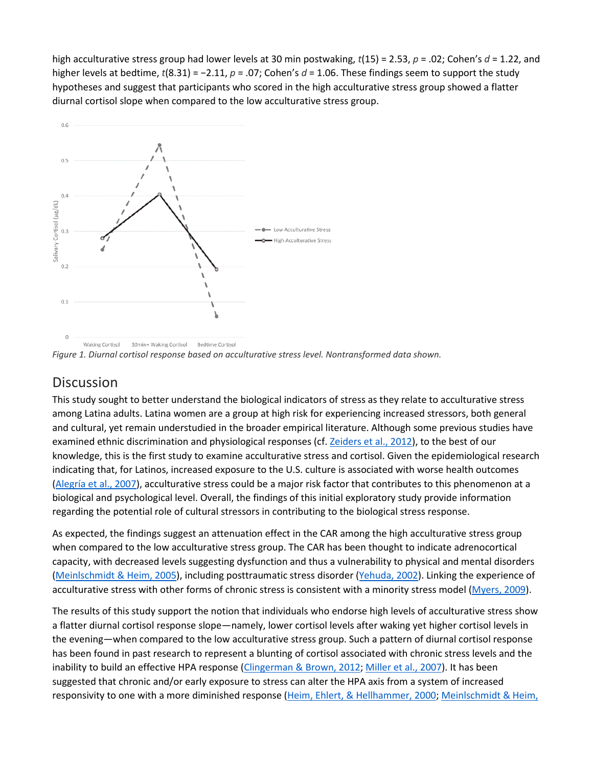high acculturative stress group had lower levels at 30 min postwaking, *t*(15) = 2.53, *p* = .02; Cohen's *d* = 1.22, and higher levels at bedtime, *t*(8.31) = −2.11, *p* = .07; Cohen's *d* = 1.06. These findings seem to support the study hypotheses and suggest that participants who scored in the high acculturative stress group showed a flatter diurnal cortisol slope when compared to the low acculturative stress group.



**Waking Cortisol** 30min+ Waking Cortisol Bedtime Cortisol *Figure 1. Diurnal cortisol response based on acculturative stress level. Nontransformed data shown.*

## **[Discussion](https://0-web-b-ebscohost-com.libus.csd.mu.edu/ehost/detail/detail?vid=2&sid=1d66e53b-28b5-40d6-b803-5f03e3bfd263%40sessionmgr101&bdata=JnNpdGU9ZWhvc3QtbGl2ZQ%3d%3d#toc)**

This study sought to better understand the biological indicators of stress as they relate to acculturative stress among Latina adults. Latina women are a group at high risk for experiencing increased stressors, both general and cultural, yet remain understudied in the broader empirical literature. Although some previous studies have examined ethnic discrimination and physiological responses (cf. [Zeiders](https://0-web-b-ebscohost-com.libus.csd.mu.edu/ehost/detail/detail?vid=2&sid=1d66e53b-28b5-40d6-b803-5f03e3bfd263%40sessionmgr101&bdata=JnNpdGU9ZWhvc3QtbGl2ZQ%3d%3d#c45) et al., 2012), to the best of our knowledge, this is the first study to examine acculturative stress and cortisol. Given the epidemiological research indicating that, for Latinos, increased exposure to the U.S. culture is associated with worse health outcomes [\(Alegría](https://0-web-b-ebscohost-com.libus.csd.mu.edu/ehost/detail/detail?vid=2&sid=1d66e53b-28b5-40d6-b803-5f03e3bfd263%40sessionmgr101&bdata=JnNpdGU9ZWhvc3QtbGl2ZQ%3d%3d#c3) et al., 2007), acculturative stress could be a major risk factor that contributes to this phenomenon at a biological and psychological level. Overall, the findings of this initial exploratory study provide information regarding the potential role of cultural stressors in contributing to the biological stress response.

As expected, the findings suggest an attenuation effect in the CAR among the high acculturative stress group when compared to the low acculturative stress group. The CAR has been thought to indicate adrenocortical capacity, with decreased levels suggesting dysfunction and thus a vulnerability to physical and mental disorders [\(Meinlschmidt](https://0-web-b-ebscohost-com.libus.csd.mu.edu/ehost/detail/detail?vid=2&sid=1d66e53b-28b5-40d6-b803-5f03e3bfd263%40sessionmgr101&bdata=JnNpdGU9ZWhvc3QtbGl2ZQ%3d%3d#c28) & Heim, 2005), including posttraumatic stress disorder [\(Yehuda,](https://0-web-b-ebscohost-com.libus.csd.mu.edu/ehost/detail/detail?vid=2&sid=1d66e53b-28b5-40d6-b803-5f03e3bfd263%40sessionmgr101&bdata=JnNpdGU9ZWhvc3QtbGl2ZQ%3d%3d#c44) 2002). Linking the experience of acculturative stress with other forms of chronic stress is consistent with a minority stress model [\(Myers,](https://0-web-b-ebscohost-com.libus.csd.mu.edu/ehost/detail/detail?vid=2&sid=1d66e53b-28b5-40d6-b803-5f03e3bfd263%40sessionmgr101&bdata=JnNpdGU9ZWhvc3QtbGl2ZQ%3d%3d#c30) 2009).

The results of this study support the notion that individuals who endorse high levels of acculturative stress show a flatter diurnal cortisol response slope—namely, lower cortisol levels after waking yet higher cortisol levels in the evening—when compared to the low acculturative stress group. Such a pattern of diurnal cortisol response has been found in past research to represent a blunting of cortisol associated with chronic stress levels and the inability to build an effective HPA response [\(Clingerman](https://0-web-b-ebscohost-com.libus.csd.mu.edu/ehost/detail/detail?vid=2&sid=1d66e53b-28b5-40d6-b803-5f03e3bfd263%40sessionmgr101&bdata=JnNpdGU9ZWhvc3QtbGl2ZQ%3d%3d#c8) & Brown, 2012; [Miller](https://0-web-b-ebscohost-com.libus.csd.mu.edu/ehost/detail/detail?vid=2&sid=1d66e53b-28b5-40d6-b803-5f03e3bfd263%40sessionmgr101&bdata=JnNpdGU9ZWhvc3QtbGl2ZQ%3d%3d#c29) et al., 2007). It has been suggested that chronic and/or early exposure to stress can alter the HPA axis from a system of increased responsivity to one with a more diminished response (Heim, Ehlert, & [Hellhammer,](https://0-web-b-ebscohost-com.libus.csd.mu.edu/ehost/detail/detail?vid=2&sid=1d66e53b-28b5-40d6-b803-5f03e3bfd263%40sessionmgr101&bdata=JnNpdGU9ZWhvc3QtbGl2ZQ%3d%3d#c20) 2000; [Meinlschmidt](https://0-web-b-ebscohost-com.libus.csd.mu.edu/ehost/detail/detail?vid=2&sid=1d66e53b-28b5-40d6-b803-5f03e3bfd263%40sessionmgr101&bdata=JnNpdGU9ZWhvc3QtbGl2ZQ%3d%3d#c28) & Heim,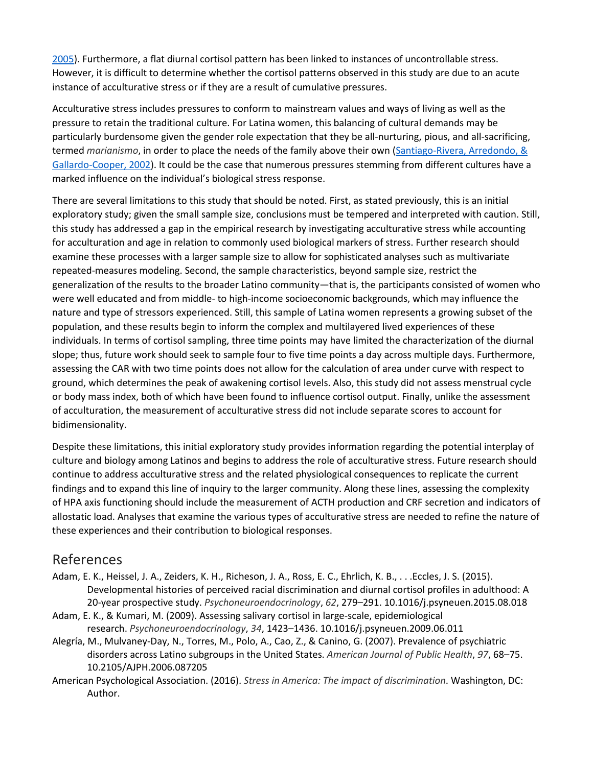[2005\)](https://0-web-b-ebscohost-com.libus.csd.mu.edu/ehost/detail/detail?vid=2&sid=1d66e53b-28b5-40d6-b803-5f03e3bfd263%40sessionmgr101&bdata=JnNpdGU9ZWhvc3QtbGl2ZQ%3d%3d#c28). Furthermore, a flat diurnal cortisol pattern has been linked to instances of uncontrollable stress. However, it is difficult to determine whether the cortisol patterns observed in this study are due to an acute instance of acculturative stress or if they are a result of cumulative pressures.

Acculturative stress includes pressures to conform to mainstream values and ways of living as well as the pressure to retain the traditional culture. For Latina women, this balancing of cultural demands may be particularly burdensome given the gender role expectation that they be all-nurturing, pious, and all-sacrificing, termed *marianismo*, in order to place the needs of the family above their own [\(Santiago-Rivera,](https://0-web-b-ebscohost-com.libus.csd.mu.edu/ehost/detail/detail?vid=2&sid=1d66e53b-28b5-40d6-b803-5f03e3bfd263%40sessionmgr101&bdata=JnNpdGU9ZWhvc3QtbGl2ZQ%3d%3d#c36) Arredondo, & [Gallardo-Cooper,](https://0-web-b-ebscohost-com.libus.csd.mu.edu/ehost/detail/detail?vid=2&sid=1d66e53b-28b5-40d6-b803-5f03e3bfd263%40sessionmgr101&bdata=JnNpdGU9ZWhvc3QtbGl2ZQ%3d%3d#c36) 2002). It could be the case that numerous pressures stemming from different cultures have a marked influence on the individual's biological stress response.

There are several limitations to this study that should be noted. First, as stated previously, this is an initial exploratory study; given the small sample size, conclusions must be tempered and interpreted with caution. Still, this study has addressed a gap in the empirical research by investigating acculturative stress while accounting for acculturation and age in relation to commonly used biological markers of stress. Further research should examine these processes with a larger sample size to allow for sophisticated analyses such as multivariate repeated-measures modeling. Second, the sample characteristics, beyond sample size, restrict the generalization of the results to the broader Latino community—that is, the participants consisted of women who were well educated and from middle- to high-income socioeconomic backgrounds, which may influence the nature and type of stressors experienced. Still, this sample of Latina women represents a growing subset of the population, and these results begin to inform the complex and multilayered lived experiences of these individuals. In terms of cortisol sampling, three time points may have limited the characterization of the diurnal slope; thus, future work should seek to sample four to five time points a day across multiple days. Furthermore, assessing the CAR with two time points does not allow for the calculation of area under curve with respect to ground, which determines the peak of awakening cortisol levels. Also, this study did not assess menstrual cycle or body mass index, both of which have been found to influence cortisol output. Finally, unlike the assessment of acculturation, the measurement of acculturative stress did not include separate scores to account for bidimensionality.

Despite these limitations, this initial exploratory study provides information regarding the potential interplay of culture and biology among Latinos and begins to address the role of acculturative stress. Future research should continue to address acculturative stress and the related physiological consequences to replicate the current findings and to expand this line of inquiry to the larger community. Along these lines, assessing the complexity of HPA axis functioning should include the measurement of ACTH production and CRF secretion and indicators of allostatic load. Analyses that examine the various types of acculturative stress are needed to refine the nature of these experiences and their contribution to biological responses.

## [References](https://0-web-b-ebscohost-com.libus.csd.mu.edu/ehost/detail/detail?vid=2&sid=1d66e53b-28b5-40d6-b803-5f03e3bfd263%40sessionmgr101&bdata=JnNpdGU9ZWhvc3QtbGl2ZQ%3d%3d#toc)

- Adam, E. K., Heissel, J. A., Zeiders, K. H., Richeson, J. A., Ross, E. C., Ehrlich, K. B., . . .Eccles, J. S. (2015). Developmental histories of perceived racial discrimination and diurnal cortisol profiles in adulthood: A 20-year prospective study. *Psychoneuroendocrinology*, *62*, 279–291. 10.1016/j.psyneuen.2015.08.018
- Adam, E. K., & Kumari, M. (2009). Assessing salivary cortisol in large-scale, epidemiological research. *Psychoneuroendocrinology*, *34*, 1423–1436. 10.1016/j.psyneuen.2009.06.011
- Alegría, M., Mulvaney-Day, N., Torres, M., Polo, A., Cao, Z., & Canino, G. (2007). Prevalence of psychiatric disorders across Latino subgroups in the United States. *American Journal of Public Health*, *97*, 68–75. 10.2105/AJPH.2006.087205
- American Psychological Association. (2016). *Stress in America: The impact of discrimination*. Washington, DC: Author.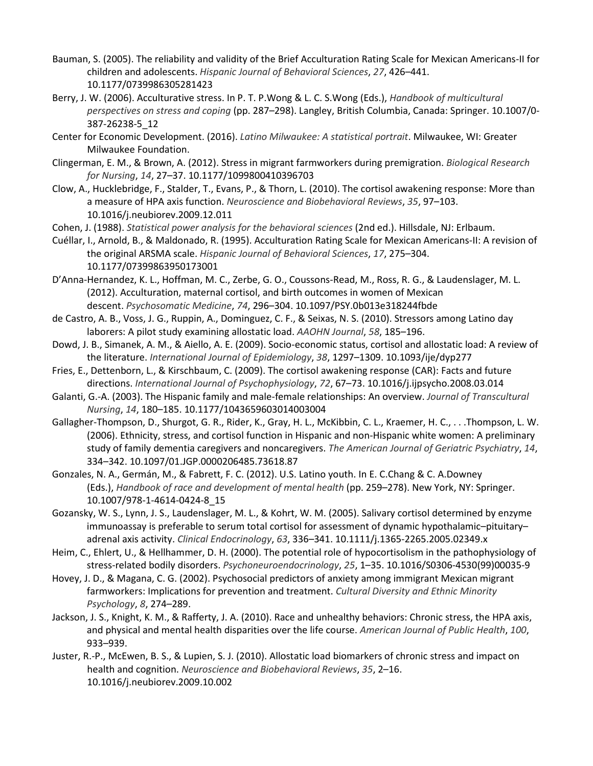- Bauman, S. (2005). The reliability and validity of the Brief Acculturation Rating Scale for Mexican Americans-II for children and adolescents. *Hispanic Journal of Behavioral Sciences*, *27*, 426–441. 10.1177/0739986305281423
- Berry, J. W. (2006). Acculturative stress. In P. T. P.Wong & L. C. S.Wong (Eds.), *Handbook of multicultural perspectives on stress and coping* (pp. 287–298). Langley, British Columbia, Canada: Springer. 10.1007/0- 387-26238-5\_12
- Center for Economic Development. (2016). *Latino Milwaukee: A statistical portrait*. Milwaukee, WI: Greater Milwaukee Foundation.
- Clingerman, E. M., & Brown, A. (2012). Stress in migrant farmworkers during premigration. *Biological Research for Nursing*, *14*, 27–37. 10.1177/1099800410396703
- Clow, A., Hucklebridge, F., Stalder, T., Evans, P., & Thorn, L. (2010). The cortisol awakening response: More than a measure of HPA axis function. *Neuroscience and Biobehavioral Reviews*, *35*, 97–103. 10.1016/j.neubiorev.2009.12.011
- Cohen, J. (1988). *Statistical power analysis for the behavioral sciences* (2nd ed.). Hillsdale, NJ: Erlbaum.
- Cuéllar, I., Arnold, B., & Maldonado, R. (1995). Acculturation Rating Scale for Mexican Americans-II: A revision of the original ARSMA scale. *Hispanic Journal of Behavioral Sciences*, *17*, 275–304. 10.1177/07399863950173001
- D'Anna-Hernandez, K. L., Hoffman, M. C., Zerbe, G. O., Coussons-Read, M., Ross, R. G., & Laudenslager, M. L. (2012). Acculturation, maternal cortisol, and birth outcomes in women of Mexican descent. *Psychosomatic Medicine*, *74*, 296–304. 10.1097/PSY.0b013e318244fbde
- de Castro, A. B., Voss, J. G., Ruppin, A., Dominguez, C. F., & Seixas, N. S. (2010). Stressors among Latino day laborers: A pilot study examining allostatic load. *AAOHN Journal*, *58*, 185–196.
- Dowd, J. B., Simanek, A. M., & Aiello, A. E. (2009). Socio-economic status, cortisol and allostatic load: A review of the literature. *International Journal of Epidemiology*, *38*, 1297–1309. 10.1093/ije/dyp277
- Fries, E., Dettenborn, L., & Kirschbaum, C. (2009). The cortisol awakening response (CAR): Facts and future directions. *International Journal of Psychophysiology*, *72*, 67–73. 10.1016/j.ijpsycho.2008.03.014
- Galanti, G.-A. (2003). The Hispanic family and male-female relationships: An overview. *Journal of Transcultural Nursing*, *14*, 180–185. 10.1177/1043659603014003004
- Gallagher-Thompson, D., Shurgot, G. R., Rider, K., Gray, H. L., McKibbin, C. L., Kraemer, H. C., . . .Thompson, L. W. (2006). Ethnicity, stress, and cortisol function in Hispanic and non-Hispanic white women: A preliminary study of family dementia caregivers and noncaregivers. *The American Journal of Geriatric Psychiatry*, *14*, 334–342. 10.1097/01.JGP.0000206485.73618.87
- Gonzales, N. A., Germán, M., & Fabrett, F. C. (2012). U.S. Latino youth. In E. C.Chang & C. A.Downey (Eds.), *Handbook of race and development of mental health* (pp. 259–278). New York, NY: Springer. 10.1007/978-1-4614-0424-8\_15
- Gozansky, W. S., Lynn, J. S., Laudenslager, M. L., & Kohrt, W. M. (2005). Salivary cortisol determined by enzyme immunoassay is preferable to serum total cortisol for assessment of dynamic hypothalamic–pituitary– adrenal axis activity. *Clinical Endocrinology*, *63*, 336–341. 10.1111/j.1365-2265.2005.02349.x
- Heim, C., Ehlert, U., & Hellhammer, D. H. (2000). The potential role of hypocortisolism in the pathophysiology of stress-related bodily disorders. *Psychoneuroendocrinology*, *25*, 1–35. 10.1016/S0306-4530(99)00035-9
- Hovey, J. D., & Magana, C. G. (2002). Psychosocial predictors of anxiety among immigrant Mexican migrant farmworkers: Implications for prevention and treatment. *Cultural Diversity and Ethnic Minority Psychology*, *8*, 274–289.
- Jackson, J. S., Knight, K. M., & Rafferty, J. A. (2010). Race and unhealthy behaviors: Chronic stress, the HPA axis, and physical and mental health disparities over the life course. *American Journal of Public Health*, *100*, 933–939.
- Juster, R.-P., McEwen, B. S., & Lupien, S. J. (2010). Allostatic load biomarkers of chronic stress and impact on health and cognition. *Neuroscience and Biobehavioral Reviews*, *35*, 2–16. 10.1016/j.neubiorev.2009.10.002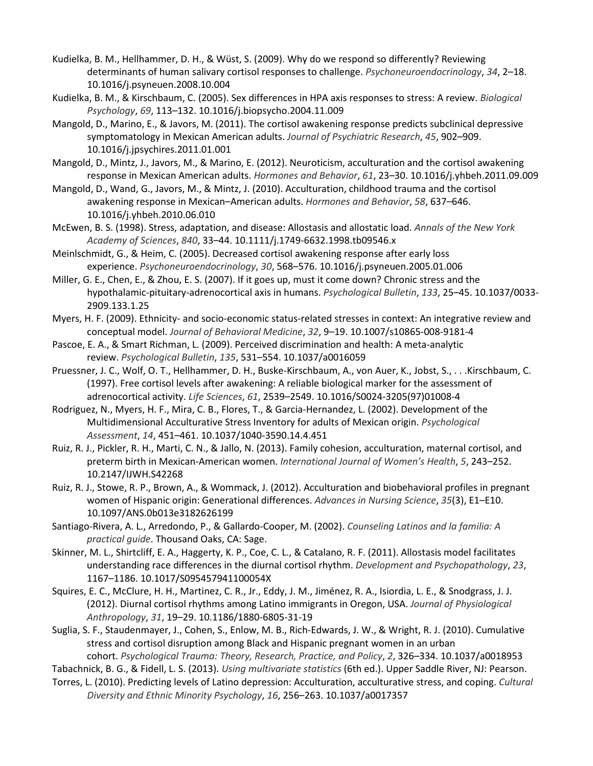- Kudielka, B. M., Hellhammer, D. H., & Wüst, S. (2009). Why do we respond so differently? Reviewing determinants of human salivary cortisol responses to challenge. *Psychoneuroendocrinology*, *34*, 2–18. 10.1016/j.psyneuen.2008.10.004
- Kudielka, B. M., & Kirschbaum, C. (2005). Sex differences in HPA axis responses to stress: A review. *Biological Psychology*, *69*, 113–132. 10.1016/j.biopsycho.2004.11.009
- Mangold, D., Marino, E., & Javors, M. (2011). The cortisol awakening response predicts subclinical depressive symptomatology in Mexican American adults. *Journal of Psychiatric Research*, *45*, 902–909. 10.1016/j.jpsychires.2011.01.001
- Mangold, D., Mintz, J., Javors, M., & Marino, E. (2012). Neuroticism, acculturation and the cortisol awakening response in Mexican American adults. *Hormones and Behavior*, *61*, 23–30. 10.1016/j.yhbeh.2011.09.009
- Mangold, D., Wand, G., Javors, M., & Mintz, J. (2010). Acculturation, childhood trauma and the cortisol awakening response in Mexican–American adults. *Hormones and Behavior*, *58*, 637–646. 10.1016/j.yhbeh.2010.06.010
- McEwen, B. S. (1998). Stress, adaptation, and disease: Allostasis and allostatic load. *Annals of the New York Academy of Sciences*, *840*, 33–44. 10.1111/j.1749-6632.1998.tb09546.x
- Meinlschmidt, G., & Heim, C. (2005). Decreased cortisol awakening response after early loss experience. *Psychoneuroendocrinology*, *30*, 568–576. 10.1016/j.psyneuen.2005.01.006
- Miller, G. E., Chen, E., & Zhou, E. S. (2007). If it goes up, must it come down? Chronic stress and the hypothalamic-pituitary-adrenocortical axis in humans. *Psychological Bulletin*, *133*, 25–45. 10.1037/0033- 2909.133.1.25
- Myers, H. F. (2009). Ethnicity- and socio-economic status-related stresses in context: An integrative review and conceptual model. *Journal of Behavioral Medicine*, *32*, 9–19. 10.1007/s10865-008-9181-4
- Pascoe, E. A., & Smart Richman, L. (2009). Perceived discrimination and health: A meta-analytic review. *Psychological Bulletin*, *135*, 531–554. 10.1037/a0016059
- Pruessner, J. C., Wolf, O. T., Hellhammer, D. H., Buske-Kirschbaum, A., von Auer, K., Jobst, S., . . .Kirschbaum, C. (1997). Free cortisol levels after awakening: A reliable biological marker for the assessment of adrenocortical activity. *Life Sciences*, *61*, 2539–2549. 10.1016/S0024-3205(97)01008-4
- Rodriguez, N., Myers, H. F., Mira, C. B., Flores, T., & Garcia-Hernandez, L. (2002). Development of the Multidimensional Acculturative Stress Inventory for adults of Mexican origin. *Psychological Assessment*, *14*, 451–461. 10.1037/1040-3590.14.4.451
- Ruiz, R. J., Pickler, R. H., Marti, C. N., & Jallo, N. (2013). Family cohesion, acculturation, maternal cortisol, and preterm birth in Mexican-American women. *International Journal of Women's Health*, *5*, 243–252. 10.2147/IJWH.S42268
- Ruiz, R. J., Stowe, R. P., Brown, A., & Wommack, J. (2012). Acculturation and biobehavioral profiles in pregnant women of Hispanic origin: Generational differences. *Advances in Nursing Science*, *35*(3), E1–E10. 10.1097/ANS.0b013e3182626199
- Santiago-Rivera, A. L., Arredondo, P., & Gallardo-Cooper, M. (2002). *Counseling Latinos and la familia: A practical guide*. Thousand Oaks, CA: Sage.
- Skinner, M. L., Shirtcliff, E. A., Haggerty, K. P., Coe, C. L., & Catalano, R. F. (2011). Allostasis model facilitates understanding race differences in the diurnal cortisol rhythm. *Development and Psychopathology*, *23*, 1167–1186. 10.1017/S095457941100054X
- Squires, E. C., McClure, H. H., Martinez, C. R., Jr., Eddy, J. M., Jiménez, R. A., Isiordia, L. E., & Snodgrass, J. J. (2012). Diurnal cortisol rhythms among Latino immigrants in Oregon, USA. *Journal of Physiological Anthropology*, *31*, 19–29. 10.1186/1880-6805-31-19
- Suglia, S. F., Staudenmayer, J., Cohen, S., Enlow, M. B., Rich-Edwards, J. W., & Wright, R. J. (2010). Cumulative stress and cortisol disruption among Black and Hispanic pregnant women in an urban

cohort. *Psychological Trauma: Theory, Research, Practice, and Policy*, *2*, 326–334. 10.1037/a0018953 Tabachnick, B. G., & Fidell, L. S. (2013). *Using multivariate statistics* (6th ed.). Upper Saddle River, NJ: Pearson.

Torres, L. (2010). Predicting levels of Latino depression: Acculturation, acculturative stress, and coping. *Cultural Diversity and Ethnic Minority Psychology*, *16*, 256–263. 10.1037/a0017357